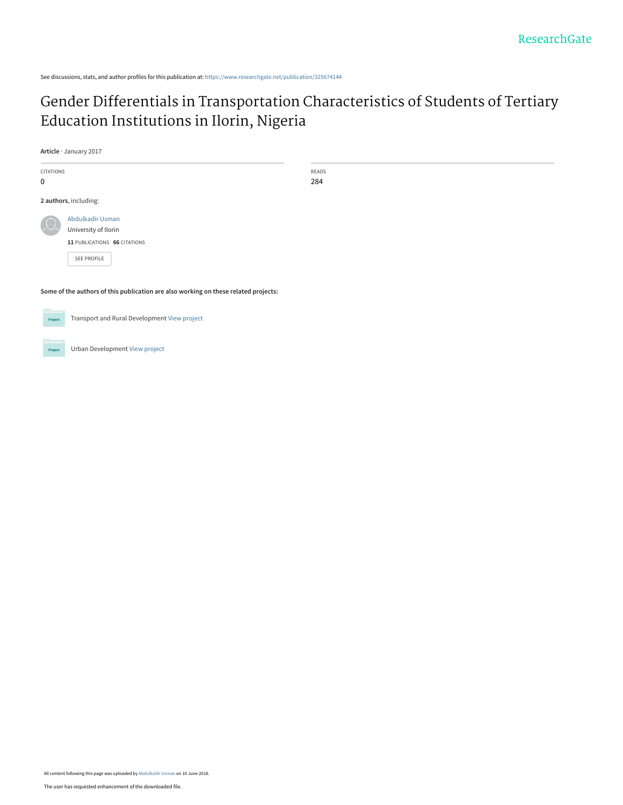See discussions, stats, and author profiles for this publication at: [https://www.researchgate.net/publication/325674144](https://www.researchgate.net/publication/325674144_Gender_Differentials_in_Transportation_Characteristics_of_Students_of_Tertiary_Education_Institutions_in_Ilorin_Nigeria?enrichId=rgreq-e2a99dddd013fb8ce7e9931eb1db291f-XXX&enrichSource=Y292ZXJQYWdlOzMyNTY3NDE0NDtBUzo2MzU5MTQ1NDM5NTU5NjhAMTUyODYyNTI1MDg3OA%3D%3D&el=1_x_2&_esc=publicationCoverPdf)

## [Gender Differentials in Transportation Characteristics of Students of Tertiary](https://www.researchgate.net/publication/325674144_Gender_Differentials_in_Transportation_Characteristics_of_Students_of_Tertiary_Education_Institutions_in_Ilorin_Nigeria?enrichId=rgreq-e2a99dddd013fb8ce7e9931eb1db291f-XXX&enrichSource=Y292ZXJQYWdlOzMyNTY3NDE0NDtBUzo2MzU5MTQ1NDM5NTU5NjhAMTUyODYyNTI1MDg3OA%3D%3D&el=1_x_3&_esc=publicationCoverPdf) Education Institutions in Ilorin, Nigeria

**Article** · January 2017

CITATIONS 0 READS 284 **2 authors**, including: **Some of the authors of this publication are also working on these related projects:** [Abdulkadir Usman](https://www.researchgate.net/profile/Abdulkadir-Usman-3?enrichId=rgreq-e2a99dddd013fb8ce7e9931eb1db291f-XXX&enrichSource=Y292ZXJQYWdlOzMyNTY3NDE0NDtBUzo2MzU5MTQ1NDM5NTU5NjhAMTUyODYyNTI1MDg3OA%3D%3D&el=1_x_5&_esc=publicationCoverPdf) [University of Ilorin](https://www.researchgate.net/institution/University-of-Ilorin?enrichId=rgreq-e2a99dddd013fb8ce7e9931eb1db291f-XXX&enrichSource=Y292ZXJQYWdlOzMyNTY3NDE0NDtBUzo2MzU5MTQ1NDM5NTU5NjhAMTUyODYyNTI1MDg3OA%3D%3D&el=1_x_6&_esc=publicationCoverPdf) **11** PUBLICATIONS **66** CITATIONS [SEE PROFILE](https://www.researchgate.net/profile/Abdulkadir-Usman-3?enrichId=rgreq-e2a99dddd013fb8ce7e9931eb1db291f-XXX&enrichSource=Y292ZXJQYWdlOzMyNTY3NDE0NDtBUzo2MzU5MTQ1NDM5NTU5NjhAMTUyODYyNTI1MDg3OA%3D%3D&el=1_x_7&_esc=publicationCoverPdf)



Project

Transport and Rural Development [View project](https://www.researchgate.net/project/Transport-and-Rural-Development?enrichId=rgreq-e2a99dddd013fb8ce7e9931eb1db291f-XXX&enrichSource=Y292ZXJQYWdlOzMyNTY3NDE0NDtBUzo2MzU5MTQ1NDM5NTU5NjhAMTUyODYyNTI1MDg3OA%3D%3D&el=1_x_9&_esc=publicationCoverPdf)

Urban Development [View project](https://www.researchgate.net/project/Urban-Development-12?enrichId=rgreq-e2a99dddd013fb8ce7e9931eb1db291f-XXX&enrichSource=Y292ZXJQYWdlOzMyNTY3NDE0NDtBUzo2MzU5MTQ1NDM5NTU5NjhAMTUyODYyNTI1MDg3OA%3D%3D&el=1_x_9&_esc=publicationCoverPdf)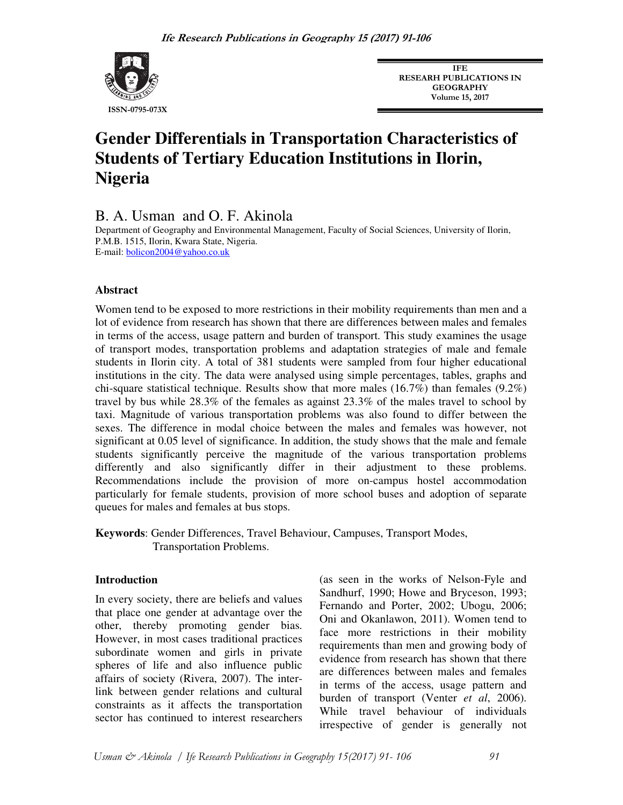

**IFE RESEARH PUBLICATIONS IN GEOGRAPHY Volume 15, 2017** 

# **Gender Differentials in Transportation Characteristics of Students of Tertiary Education Institutions in Ilorin, Nigeria**

B. A. Usman and O. F. Akinola

Department of Geography and Environmental Management, Faculty of Social Sciences, University of Ilorin, P.M.B. 1515, Ilorin, Kwara State, Nigeria. E-mail: **bolicon2004@yahoo.co.uk** 

## **Abstract**

Women tend to be exposed to more restrictions in their mobility requirements than men and a lot of evidence from research has shown that there are differences between males and females in terms of the access, usage pattern and burden of transport. This study examines the usage of transport modes, transportation problems and adaptation strategies of male and female students in Ilorin city. A total of 381 students were sampled from four higher educational institutions in the city. The data were analysed using simple percentages, tables, graphs and chi-square statistical technique. Results show that more males  $(16.7\%)$  than females  $(9.2\%)$ travel by bus while 28.3% of the females as against 23.3% of the males travel to school by taxi. Magnitude of various transportation problems was also found to differ between the sexes. The difference in modal choice between the males and females was however, not significant at 0.05 level of significance. In addition, the study shows that the male and female students significantly perceive the magnitude of the various transportation problems differently and also significantly differ in their adjustment to these problems. Recommendations include the provision of more on-campus hostel accommodation particularly for female students, provision of more school buses and adoption of separate queues for males and females at bus stops.

**Keywords**: Gender Differences, Travel Behaviour, Campuses, Transport Modes, Transportation Problems.

#### **Introduction**

In every society, there are beliefs and values that place one gender at advantage over the other, thereby promoting gender bias. However, in most cases traditional practices subordinate women and girls in private spheres of life and also influence public affairs of society (Rivera, 2007). The interlink between gender relations and cultural constraints as it affects the transportation sector has continued to interest researchers

(as seen in the works of Nelson-Fyle and Sandhurf, 1990; Howe and Bryceson, 1993; Fernando and Porter, 2002; Ubogu, 2006; Oni and Okanlawon, 2011). Women tend to face more restrictions in their mobility requirements than men and growing body of evidence from research has shown that there are differences between males and females in terms of the access, usage pattern and burden of transport (Venter *et al*, 2006). While travel behaviour of individuals irrespective of gender is generally not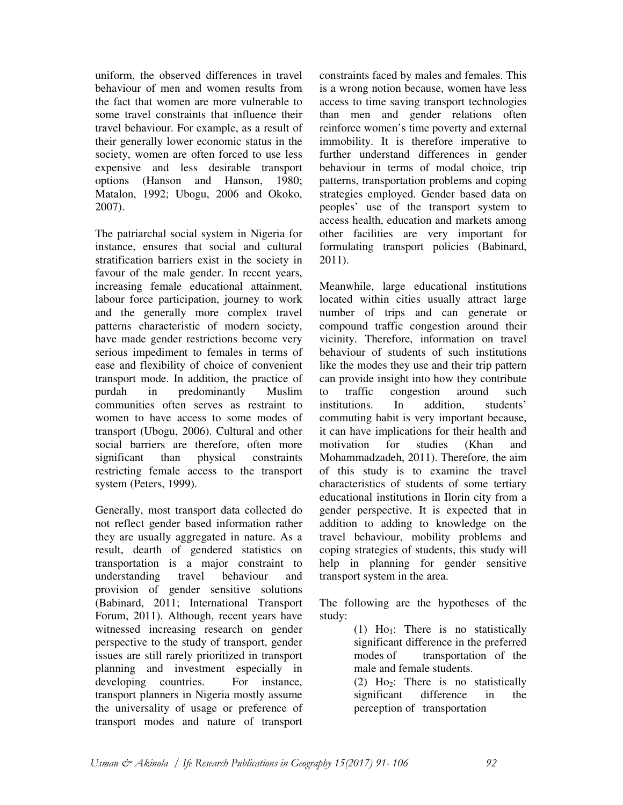uniform, the observed differences in travel behaviour of men and women results from the fact that women are more vulnerable to some travel constraints that influence their travel behaviour. For example, as a result of their generally lower economic status in the society, women are often forced to use less expensive and less desirable transport options (Hanson and Hanson, 1980; Matalon, 1992; Ubogu, 2006 and Okoko, 2007).

The patriarchal social system in Nigeria for instance, ensures that social and cultural stratification barriers exist in the society in favour of the male gender. In recent years, increasing female educational attainment, labour force participation, journey to work and the generally more complex travel patterns characteristic of modern society, have made gender restrictions become very serious impediment to females in terms of ease and flexibility of choice of convenient transport mode. In addition, the practice of purdah in predominantly Muslim communities often serves as restraint to women to have access to some modes of transport (Ubogu, 2006). Cultural and other social barriers are therefore, often more significant than physical constraints restricting female access to the transport system (Peters, 1999).

Generally, most transport data collected do not reflect gender based information rather they are usually aggregated in nature. As a result, dearth of gendered statistics on transportation is a major constraint to understanding travel behaviour and provision of gender sensitive solutions (Babinard, 2011; International Transport Forum, 2011). Although, recent years have witnessed increasing research on gender perspective to the study of transport, gender issues are still rarely prioritized in transport planning and investment especially in developing countries. For instance, transport planners in Nigeria mostly assume the universality of usage or preference of transport modes and nature of transport constraints faced by males and females. This is a wrong notion because, women have less access to time saving transport technologies than men and gender relations often reinforce women's time poverty and external immobility. It is therefore imperative to further understand differences in gender behaviour in terms of modal choice, trip patterns, transportation problems and coping strategies employed. Gender based data on peoples' use of the transport system to access health, education and markets among other facilities are very important for formulating transport policies (Babinard, 2011).

Meanwhile, large educational institutions located within cities usually attract large number of trips and can generate or compound traffic congestion around their vicinity. Therefore, information on travel behaviour of students of such institutions like the modes they use and their trip pattern can provide insight into how they contribute to traffic congestion around such institutions. In addition, students' commuting habit is very important because, it can have implications for their health and motivation for studies (Khan and Mohammadzadeh, 2011). Therefore, the aim of this study is to examine the travel characteristics of students of some tertiary educational institutions in Ilorin city from a gender perspective. It is expected that in addition to adding to knowledge on the travel behaviour, mobility problems and coping strategies of students, this study will help in planning for gender sensitive transport system in the area.

The following are the hypotheses of the study:

(1)  $Ho_1$ : There is no statistically significant difference in the preferred modes of transportation of the male and female students. (2)  $Ho_2$ : There is no statistically significant difference in the perception of transportation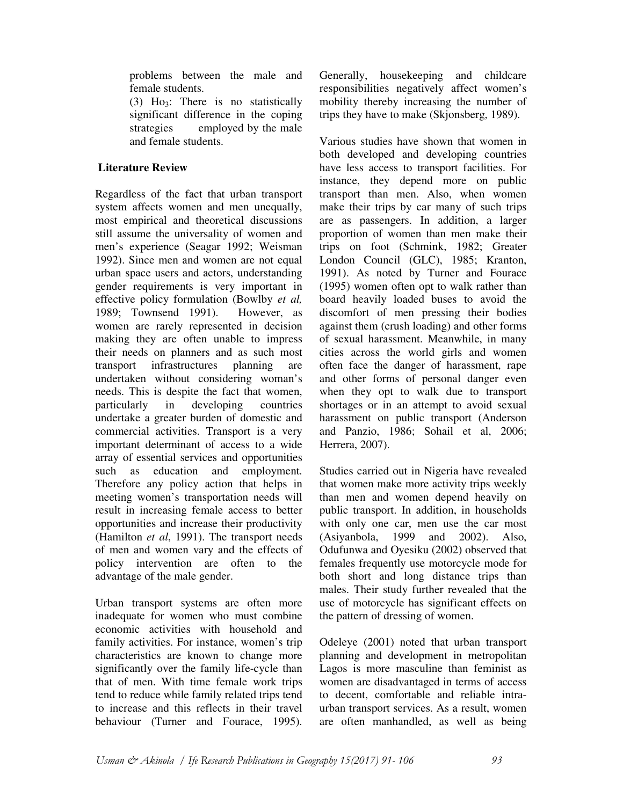problems between the male and female students.

(3) Ho3: There is no statistically significant difference in the coping strategies employed by the male and female students.

## **Literature Review**

Regardless of the fact that urban transport system affects women and men unequally, most empirical and theoretical discussions still assume the universality of women and men's experience (Seagar 1992; Weisman 1992). Since men and women are not equal urban space users and actors, understanding gender requirements is very important in effective policy formulation (Bowlby *et al,*  1989; Townsend 1991). However, as women are rarely represented in decision making they are often unable to impress their needs on planners and as such most transport infrastructures planning are undertaken without considering woman's needs. This is despite the fact that women, particularly in developing countries undertake a greater burden of domestic and commercial activities. Transport is a very important determinant of access to a wide array of essential services and opportunities such as education and employment. Therefore any policy action that helps in meeting women's transportation needs will result in increasing female access to better opportunities and increase their productivity (Hamilton *et al*, 1991). The transport needs of men and women vary and the effects of policy intervention are often to the advantage of the male gender.

Urban transport systems are often more inadequate for women who must combine economic activities with household and family activities. For instance, women's trip characteristics are known to change more significantly over the family life-cycle than that of men. With time female work trips tend to reduce while family related trips tend to increase and this reflects in their travel behaviour (Turner and Fourace, 1995).

Generally, housekeeping and childcare responsibilities negatively affect women's mobility thereby increasing the number of trips they have to make (Skjonsberg, 1989).

Various studies have shown that women in both developed and developing countries have less access to transport facilities. For instance, they depend more on public transport than men. Also, when women make their trips by car many of such trips are as passengers. In addition, a larger proportion of women than men make their trips on foot (Schmink, 1982; Greater London Council (GLC), 1985; Kranton, 1991). As noted by Turner and Fourace (1995) women often opt to walk rather than board heavily loaded buses to avoid the discomfort of men pressing their bodies against them (crush loading) and other forms of sexual harassment. Meanwhile, in many cities across the world girls and women often face the danger of harassment, rape and other forms of personal danger even when they opt to walk due to transport shortages or in an attempt to avoid sexual harassment on public transport (Anderson and Panzio, 1986; Sohail et al, 2006; Herrera, 2007).

Studies carried out in Nigeria have revealed that women make more activity trips weekly than men and women depend heavily on public transport. In addition, in households with only one car, men use the car most (Asiyanbola, 1999 and 2002). Also, Odufunwa and Oyesiku (2002) observed that females frequently use motorcycle mode for both short and long distance trips than males. Their study further revealed that the use of motorcycle has significant effects on the pattern of dressing of women.

Odeleye (2001) noted that urban transport planning and development in metropolitan Lagos is more masculine than feminist as women are disadvantaged in terms of access to decent, comfortable and reliable intraurban transport services. As a result, women are often manhandled, as well as being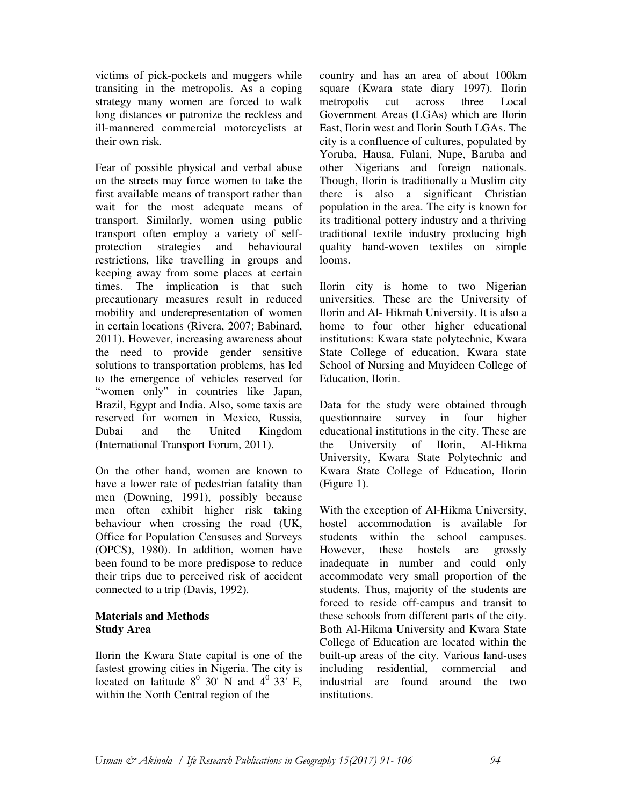victims of pick-pockets and muggers while transiting in the metropolis. As a coping strategy many women are forced to walk long distances or patronize the reckless and ill-mannered commercial motorcyclists at their own risk.

Fear of possible physical and verbal abuse on the streets may force women to take the first available means of transport rather than wait for the most adequate means of transport. Similarly, women using public transport often employ a variety of selfprotection strategies and behavioural restrictions, like travelling in groups and keeping away from some places at certain times. The implication is that such precautionary measures result in reduced mobility and underepresentation of women in certain locations (Rivera, 2007; Babinard, 2011). However, increasing awareness about the need to provide gender sensitive solutions to transportation problems, has led to the emergence of vehicles reserved for "women only" in countries like Japan, Brazil, Egypt and India. Also, some taxis are reserved for women in Mexico, Russia, Dubai and the United Kingdom (International Transport Forum, 2011).

On the other hand, women are known to have a lower rate of pedestrian fatality than men (Downing, 1991), possibly because men often exhibit higher risk taking behaviour when crossing the road (UK, Office for Population Censuses and Surveys (OPCS), 1980). In addition, women have been found to be more predispose to reduce their trips due to perceived risk of accident connected to a trip (Davis, 1992).

## **Materials and Methods Study Area**

Ilorin the Kwara State capital is one of the fastest growing cities in Nigeria. The city is located on latitude  $8^0$  30' N and  $4^0$  33' E, within the North Central region of the

country and has an area of about 100km square (Kwara state diary 1997). Ilorin metropolis cut across three Local Government Areas (LGAs) which are Ilorin East, Ilorin west and Ilorin South LGAs. The city is a confluence of cultures, populated by Yoruba, Hausa, Fulani, Nupe, Baruba and other Nigerians and foreign nationals. Though, Ilorin is traditionally a Muslim city there is also a significant Christian population in the area. The city is known for its traditional pottery industry and a thriving traditional textile industry producing high quality hand-woven textiles on simple looms.

Ilorin city is home to two Nigerian universities. These are the University of Ilorin and Al- Hikmah University. It is also a home to four other higher educational institutions: Kwara state polytechnic, Kwara State College of education, Kwara state School of Nursing and Muyideen College of Education, Ilorin.

Data for the study were obtained through questionnaire survey in four higher educational institutions in the city. These are the University of Ilorin, Al-Hikma University, Kwara State Polytechnic and Kwara State College of Education, Ilorin (Figure 1).

With the exception of Al-Hikma University, hostel accommodation is available for students within the school campuses. However, these hostels are grossly inadequate in number and could only accommodate very small proportion of the students. Thus, majority of the students are forced to reside off-campus and transit to these schools from different parts of the city. Both Al-Hikma University and Kwara State College of Education are located within the built-up areas of the city. Various land-uses including residential, commercial and industrial are found around the two institutions.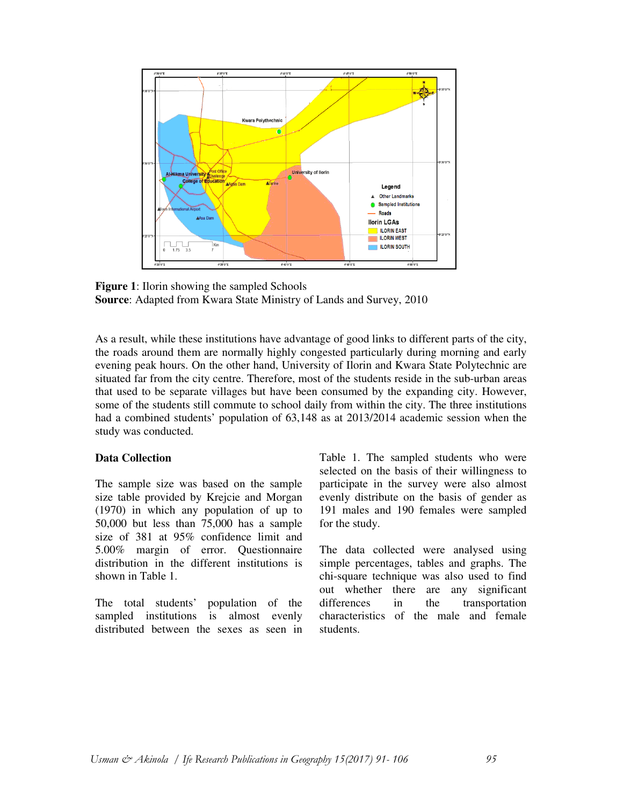

**Figure 1**: Ilorin showing the sampled Schools **Source**: Adapted from Kwara State Ministry of Lands and Survey, 2010

As a result, while these institutions have advantage of good links to different parts of the city, the roads around them are normally highly congested particularly during morning and early evening peak hours. On the other hand, University of Ilorin and Kwara State Polytechnic are situated far from the city centre. Therefore, most of the students reside in the sub-urban areas that used to be separate villages but have been consumed by the expanding city. However, some of the students still commute to school daily from within the city. The three institutions had a combined students' population of 63,148 as at 2013/2014 academic session when the study was conducted.

#### **Data Collection**

The sample size was based on the sample size table provided by Krejcie and Morgan (1970) in which any population of up to 50,000 but less than 75,000 has a sample size of 381 at 95% confidence limit and 5.00% margin of error. Questionnaire distribution in the different institutions is shown in Table 1.

The total students' population of the sampled institutions is almost evenly distributed between the sexes as seen in

Table 1. The sampled students who were selected on the basis of their willingness to participate in the survey were also almost evenly distribute on the basis of gender as 191 males and 190 females were sampled for the study.

The data collected were analysed using simple percentages, tables and graphs. The chi-square technique was also used to find out whether there are any significant differences in the transportation characteristics of the male and female students.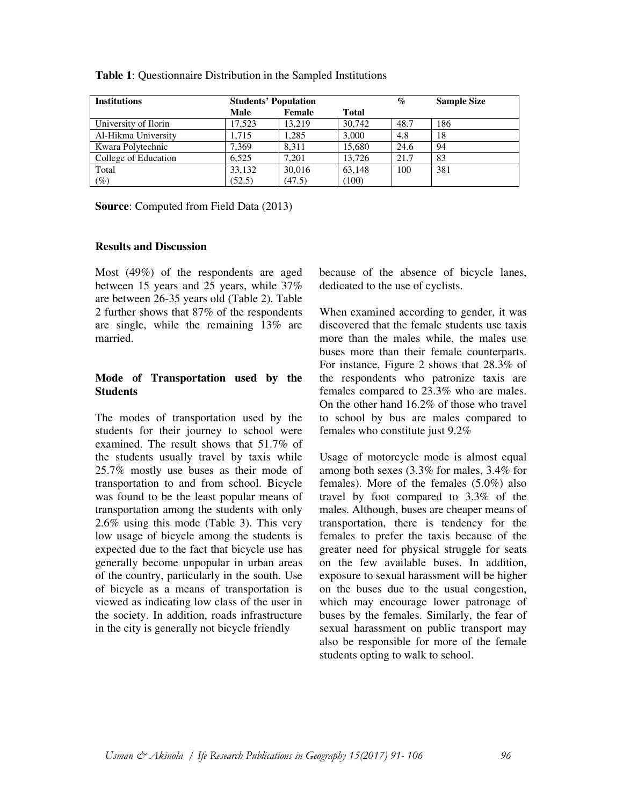| <b>Institutions</b>  | <b>Students' Population</b> |        |              | $\mathcal{G}_{\mathcal{O}}$ | <b>Sample Size</b> |
|----------------------|-----------------------------|--------|--------------|-----------------------------|--------------------|
|                      | Male                        | Female | <b>Total</b> |                             |                    |
| University of Ilorin | 17.523                      | 13.219 | 30,742       | 48.7                        | 186                |
| Al-Hikma University  | 1.715                       | .285   | 3,000        | 4.8                         | 18                 |
| Kwara Polytechnic    | 7,369                       | 8.311  | 15.680       | 24.6                        | 94                 |
| College of Education | 6.525                       | 7.201  | 13.726       | 21.7                        | 83                 |
| Total                | 33,132                      | 30,016 | 63,148       | 100                         | 381                |
| $(\%)$               | (52.5)                      | (47.5) | (100)        |                             |                    |

**Table 1**: Questionnaire Distribution in the Sampled Institutions

**Source**: Computed from Field Data (2013)

#### **Results and Discussion**

Most (49%) of the respondents are aged between 15 years and 25 years, while 37% are between 26-35 years old (Table 2). Table 2 further shows that 87% of the respondents are single, while the remaining 13% are married.

## **Mode of Transportation used by the Students**

The modes of transportation used by the students for their journey to school were examined. The result shows that 51.7% of the students usually travel by taxis while 25.7% mostly use buses as their mode of transportation to and from school. Bicycle was found to be the least popular means of transportation among the students with only 2.6% using this mode (Table 3). This very low usage of bicycle among the students is expected due to the fact that bicycle use has generally become unpopular in urban areas of the country, particularly in the south. Use of bicycle as a means of transportation is viewed as indicating low class of the user in the society. In addition, roads infrastructure in the city is generally not bicycle friendly

because of the absence of bicycle lanes, dedicated to the use of cyclists.

When examined according to gender, it was discovered that the female students use taxis more than the males while, the males use buses more than their female counterparts. For instance, Figure 2 shows that 28.3% of the respondents who patronize taxis are females compared to 23.3% who are males. On the other hand 16.2% of those who travel to school by bus are males compared to females who constitute just 9.2%

Usage of motorcycle mode is almost equal among both sexes (3.3% for males, 3.4% for females). More of the females (5.0%) also travel by foot compared to 3.3% of the males. Although, buses are cheaper means of transportation, there is tendency for the females to prefer the taxis because of the greater need for physical struggle for seats on the few available buses. In addition, exposure to sexual harassment will be higher on the buses due to the usual congestion, which may encourage lower patronage of buses by the females. Similarly, the fear of sexual harassment on public transport may also be responsible for more of the female students opting to walk to school.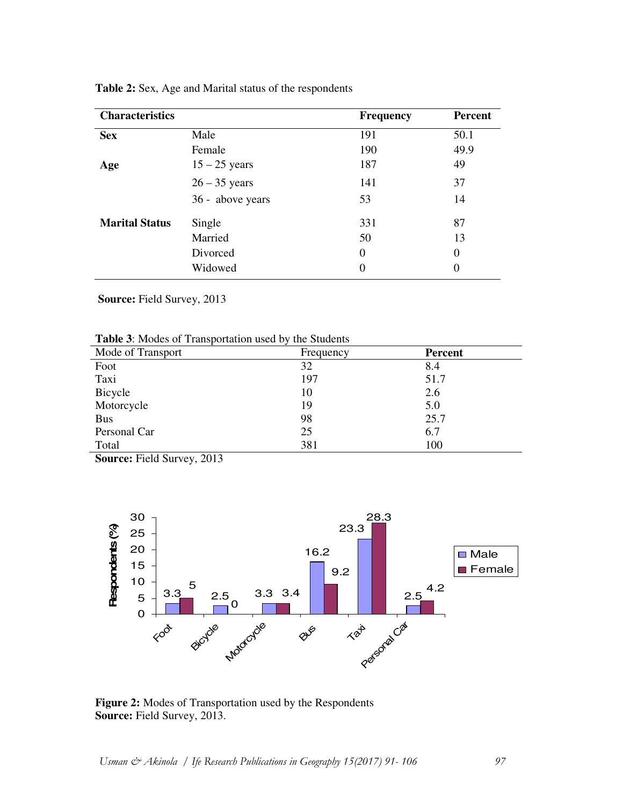| <b>Characteristics</b> |                  | <b>Frequency</b> | <b>Percent</b> |
|------------------------|------------------|------------------|----------------|
| <b>Sex</b>             | Male             | 191              | 50.1           |
|                        | Female           | 190              | 49.9           |
| Age                    | $15 - 25$ years  | 187              | 49             |
|                        | $26 - 35$ years  | 141              | 37             |
|                        | 36 - above years | 53               | 14             |
| <b>Marital Status</b>  | Single           | 331              | 87             |
|                        | Married          | 50               | 13             |
|                        | Divorced         | $\theta$         | 0              |
|                        | Widowed          | 0                | $\theta$       |

**Table 2:** Sex, Age and Marital status of the respondents

 **Source:** Field Survey, 2013

|  | Table 3: Modes of Transportation used by the Students |  |
|--|-------------------------------------------------------|--|
|--|-------------------------------------------------------|--|

| Mode of Transport | Frequency | Percent |  |
|-------------------|-----------|---------|--|
| Foot              | 32        | 8.4     |  |
| Taxi              | 197       | 51.7    |  |
| Bicycle           | 10        | 2.6     |  |
| Motorcycle        | 19        | 5.0     |  |
| <b>Bus</b>        | 98        | 25.7    |  |
| Personal Car      | 25        | 6.7     |  |
| Total             | 381       | 100     |  |

**Source:** Field Survey, 2013



**Figure 2:** Modes of Transportation used by the Respondents **Source:** Field Survey, 2013.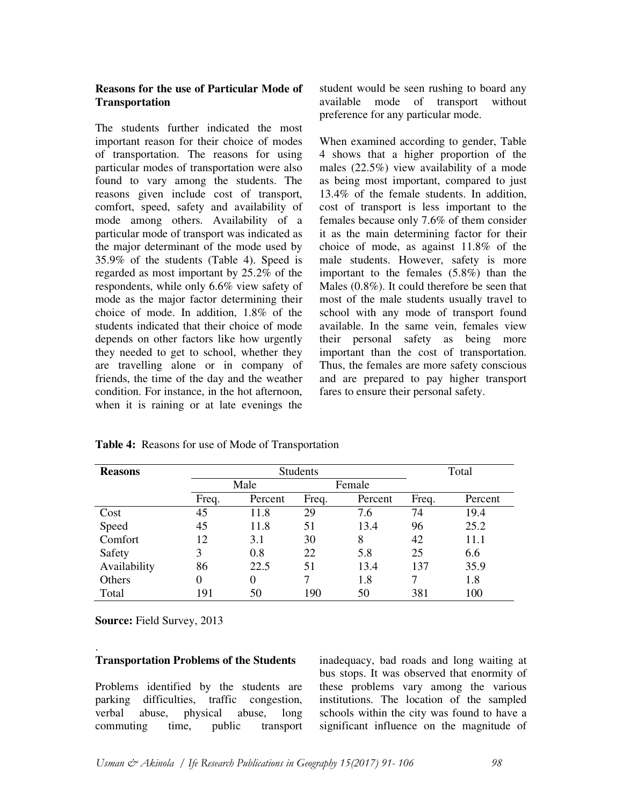## **Reasons for the use of Particular Mode of Transportation**

The students further indicated the most important reason for their choice of modes of transportation. The reasons for using particular modes of transportation were also found to vary among the students. The reasons given include cost of transport, comfort, speed, safety and availability of mode among others. Availability of a particular mode of transport was indicated as the major determinant of the mode used by 35.9% of the students (Table 4). Speed is regarded as most important by 25.2% of the respondents, while only 6.6% view safety of mode as the major factor determining their choice of mode. In addition, 1.8% of the students indicated that their choice of mode depends on other factors like how urgently they needed to get to school, whether they are travelling alone or in company of friends, the time of the day and the weather condition. For instance, in the hot afternoon, when it is raining or at late evenings the student would be seen rushing to board any available mode of transport without preference for any particular mode.

When examined according to gender, Table 4 shows that a higher proportion of the males (22.5%) view availability of a mode as being most important, compared to just 13.4% of the female students. In addition, cost of transport is less important to the females because only 7.6% of them consider it as the main determining factor for their choice of mode, as against 11.8% of the male students. However, safety is more important to the females (5.8%) than the Males (0.8%). It could therefore be seen that most of the male students usually travel to school with any mode of transport found available. In the same vein, females view their personal safety as being more important than the cost of transportation. Thus, the females are more safety conscious and are prepared to pay higher transport fares to ensure their personal safety.

| <b>Reasons</b> | <b>Students</b> |          |        |         | Total |         |
|----------------|-----------------|----------|--------|---------|-------|---------|
|                | Male            |          | Female |         |       |         |
|                | Freq.           | Percent  | Freq.  | Percent | Freq. | Percent |
| Cost           | 45              | 11.8     | 29     | 7.6     | 74    | 19.4    |
| Speed          | 45              | 11.8     | 51     | 13.4    | 96    | 25.2    |
| Comfort        | 12              | 3.1      | 30     | 8       | 42    | 11.1    |
| Safety         | 3               | 0.8      | 22     | 5.8     | 25    | 6.6     |
| Availability   | 86              | 22.5     | 51     | 13.4    | 137   | 35.9    |
| Others         | 0               | $\Omega$ |        | 1.8     |       | 1.8     |
| Total          | 191             | 50       | 190    | 50      | 381   | 100     |

**Table 4:** Reasons for use of Mode of Transportation

**Source:** Field Survey, 2013

#### . **Transportation Problems of the Students**

Problems identified by the students are parking difficulties, traffic congestion, verbal abuse, physical abuse, long commuting time, public transport inadequacy, bad roads and long waiting at bus stops. It was observed that enormity of these problems vary among the various institutions. The location of the sampled schools within the city was found to have a significant influence on the magnitude of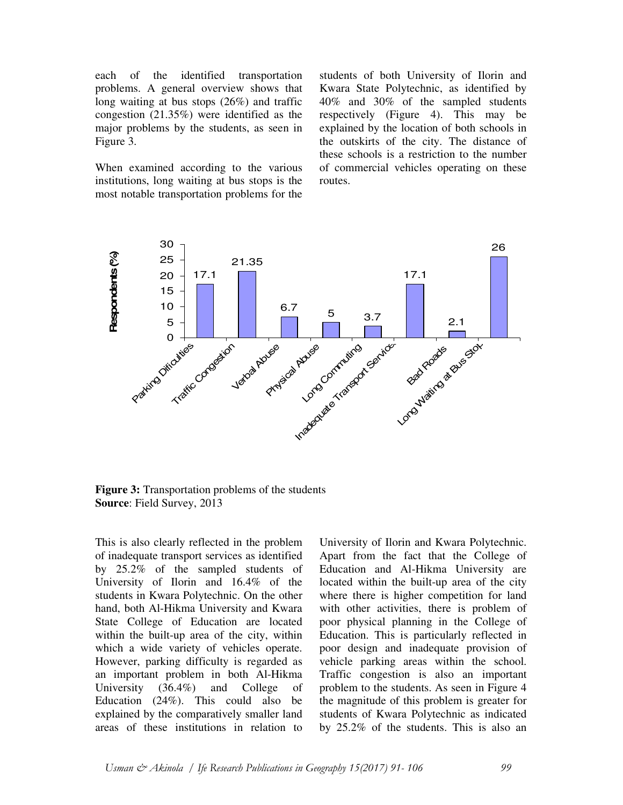each of the identified transportation problems. A general overview shows that long waiting at bus stops (26%) and traffic congestion (21.35%) were identified as the major problems by the students, as seen in Figure 3.

When examined according to the various institutions, long waiting at bus stops is the most notable transportation problems for the

students of both University of Ilorin and Kwara State Polytechnic, as identified by 40% and 30% of the sampled students respectively (Figure 4). This may be explained by the location of both schools in the outskirts of the city. The distance of these schools is a restriction to the number of commercial vehicles operating on these routes.



**Figure 3:** Transportation problems of the students **Source**: Field Survey, 2013

This is also clearly reflected in the problem of inadequate transport services as identified by 25.2% of the sampled students of University of Ilorin and 16.4% of the students in Kwara Polytechnic. On the other hand, both Al-Hikma University and Kwara State College of Education are located within the built-up area of the city, within which a wide variety of vehicles operate. However, parking difficulty is regarded as an important problem in both Al-Hikma University (36.4%) and College of Education (24%). This could also be explained by the comparatively smaller land areas of these institutions in relation to

University of Ilorin and Kwara Polytechnic. Apart from the fact that the College of Education and Al-Hikma University are located within the built-up area of the city where there is higher competition for land with other activities, there is problem of poor physical planning in the College of Education. This is particularly reflected in poor design and inadequate provision of vehicle parking areas within the school. Traffic congestion is also an important problem to the students. As seen in Figure 4 the magnitude of this problem is greater for students of Kwara Polytechnic as indicated by 25.2% of the students. This is also an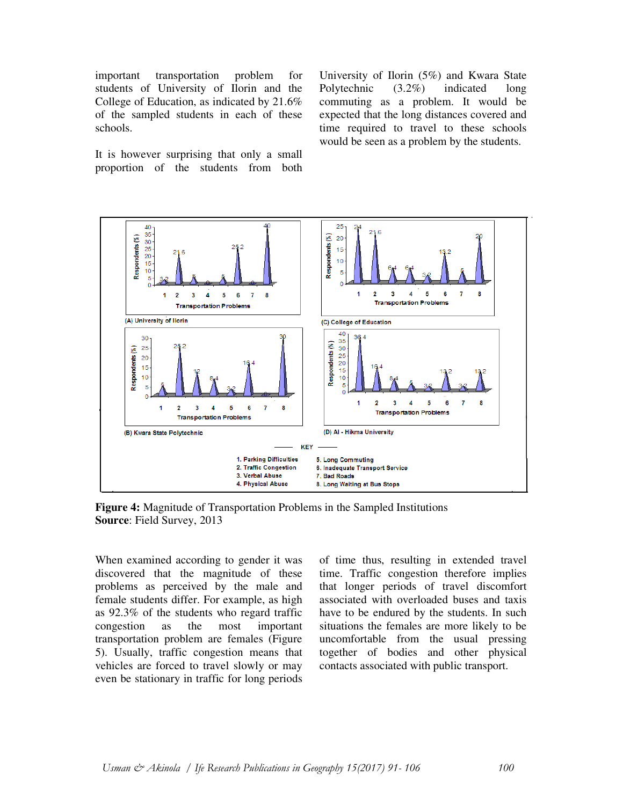important transportation problem for students of University of Ilorin and the College of Education, as indicated by 21.6% of the sampled students in each of these schools.

It is however surprising that only a small proportion of the students from both University of Ilorin (5%) and Kwara State Polytechnic (3.2%) indicated long commuting as a problem. It would be expected that the long distances covered and time required to travel to these schools would be seen as a problem by the students.



**Figure 4:** Magnitude of Transportation Problems in the Sampled Institutions **Source**: Field Survey, 2013

When examined according to gender it was discovered that the magnitude of these problems as perceived by the male and female students differ. For example, as high as 92.3% of the students who regard traffic congestion as the most important transportation problem are females (Figure 5). Usually, traffic congestion means that vehicles are forced to travel slowly or may even be stationary in traffic for long periods

of time thus, resulting in extended travel time. Traffic congestion therefore implies that longer periods of travel discomfort associated with overloaded buses and taxis have to be endured by the students. In such situations the females are more likely to be uncomfortable from the usual pressing together of bodies and other physical contacts associated with public transport.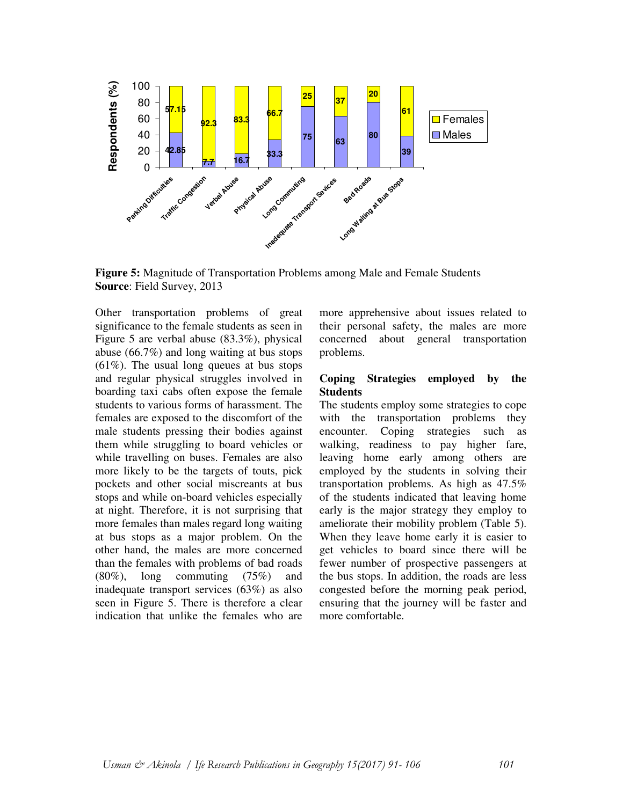

**Figure 5:** Magnitude of Transportation Problems among Male and Female Students **Source**: Field Survey, 2013

Other transportation problems of great significance to the female students as seen in Figure 5 are verbal abuse (83.3%), physical abuse (66.7%) and long waiting at bus stops (61%). The usual long queues at bus stops and regular physical struggles involved in boarding taxi cabs often expose the female students to various forms of harassment. The females are exposed to the discomfort of the male students pressing their bodies against them while struggling to board vehicles or while travelling on buses. Females are also more likely to be the targets of touts, pick pockets and other social miscreants at bus stops and while on-board vehicles especially at night. Therefore, it is not surprising that more females than males regard long waiting at bus stops as a major problem. On the other hand, the males are more concerned than the females with problems of bad roads (80%), long commuting (75%) and inadequate transport services (63%) as also seen in Figure 5. There is therefore a clear indication that unlike the females who are

more apprehensive about issues related to their personal safety, the males are more concerned about general transportation problems.

#### **Coping Strategies employed by the Students**

The students employ some strategies to cope with the transportation problems they encounter. Coping strategies such as walking, readiness to pay higher fare, leaving home early among others are employed by the students in solving their transportation problems. As high as 47.5% of the students indicated that leaving home early is the major strategy they employ to ameliorate their mobility problem (Table 5). When they leave home early it is easier to get vehicles to board since there will be fewer number of prospective passengers at the bus stops. In addition, the roads are less congested before the morning peak period, ensuring that the journey will be faster and more comfortable.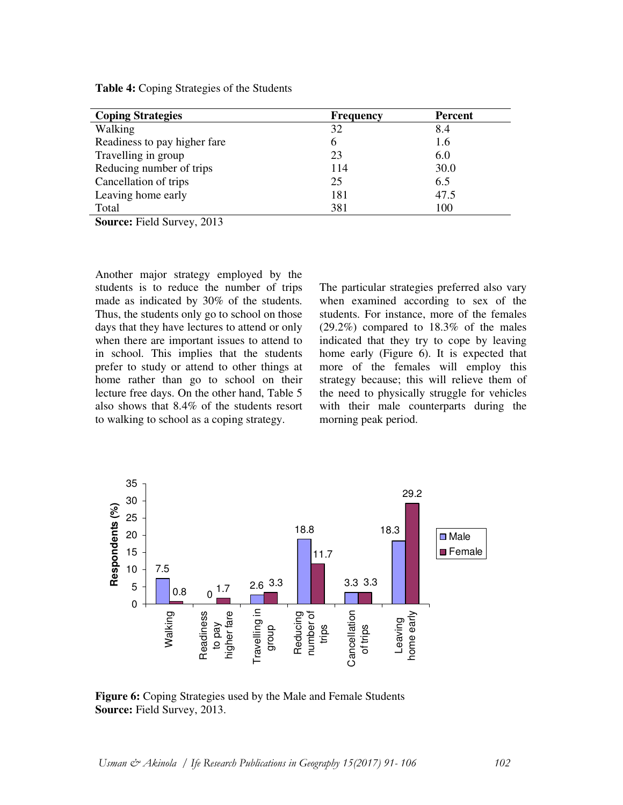| <b>Coping Strategies</b>     | <b>Frequency</b> | <b>Percent</b> |
|------------------------------|------------------|----------------|
| Walking                      | 32               | 8.4            |
| Readiness to pay higher fare | 6                | 1.6            |
| Travelling in group          | 23               | 6.0            |
| Reducing number of trips     | 114              | 30.0           |
| Cancellation of trips        | 25               | 6.5            |
| Leaving home early           | 181              | 47.5           |
| Total                        | 381              | 100            |
|                              |                  |                |

**Table 4:** Coping Strategies of the Students

**Source:** Field Survey, 2013

Another major strategy employed by the students is to reduce the number of trips made as indicated by 30% of the students. Thus, the students only go to school on those days that they have lectures to attend or only when there are important issues to attend to in school. This implies that the students prefer to study or attend to other things at home rather than go to school on their lecture free days. On the other hand, Table 5 also shows that 8.4% of the students resort to walking to school as a coping strategy.

The particular strategies preferred also vary when examined according to sex of the students. For instance, more of the females (29.2%) compared to 18.3% of the males indicated that they try to cope by leaving home early (Figure 6). It is expected that more of the females will employ this strategy because; this will relieve them of the need to physically struggle for vehicles with their male counterparts during the morning peak period.



**Figure 6:** Coping Strategies used by the Male and Female Students **Source:** Field Survey, 2013.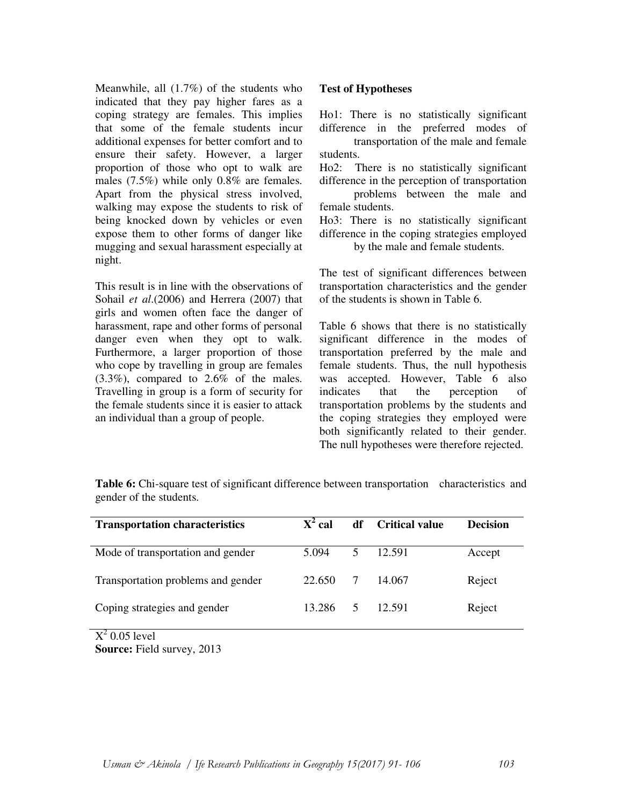Meanwhile, all (1.7%) of the students who indicated that they pay higher fares as a coping strategy are females. This implies that some of the female students incur additional expenses for better comfort and to ensure their safety. However, a larger proportion of those who opt to walk are males (7.5%) while only 0.8% are females. Apart from the physical stress involved, walking may expose the students to risk of being knocked down by vehicles or even expose them to other forms of danger like mugging and sexual harassment especially at night.

This result is in line with the observations of Sohail *et al*.(2006) and Herrera (2007) that girls and women often face the danger of harassment, rape and other forms of personal danger even when they opt to walk. Furthermore, a larger proportion of those who cope by travelling in group are females (3.3%), compared to 2.6% of the males. Travelling in group is a form of security for the female students since it is easier to attack an individual than a group of people.

## **Test of Hypotheses**

Ho1: There is no statistically significant difference in the preferred modes of transportation of the male and female students.

Ho2: There is no statistically significant difference in the perception of transportation problems between the male and female students.

Ho3: There is no statistically significant difference in the coping strategies employed by the male and female students.

The test of significant differences between transportation characteristics and the gender of the students is shown in Table 6.

Table 6 shows that there is no statistically significant difference in the modes of transportation preferred by the male and female students. Thus, the null hypothesis was accepted. However, Table 6 also indicates that the perception of transportation problems by the students and the coping strategies they employed were both significantly related to their gender. The null hypotheses were therefore rejected.

**Table 6:** Chi-square test of significant difference between transportation characteristics and gender of the students.

| <b>Transportation characteristics</b>           | $X^2$ cal | df             | <b>Critical value</b> | <b>Decision</b> |
|-------------------------------------------------|-----------|----------------|-----------------------|-----------------|
| Mode of transportation and gender               | 5.094     | 5              | 12.591                | Accept          |
| Transportation problems and gender              | 22.650    |                | 14.067                | Reject          |
| Coping strategies and gender                    | 13.286    | 5 <sup>1</sup> | 12.591                | Reject          |
| $\Sigma^2$ $\Omega$ $\Omega$ $\Gamma$ $\sim$ 1. |           |                |                       |                 |

 $X^2$  0.05 level **Source:** Field survey, 2013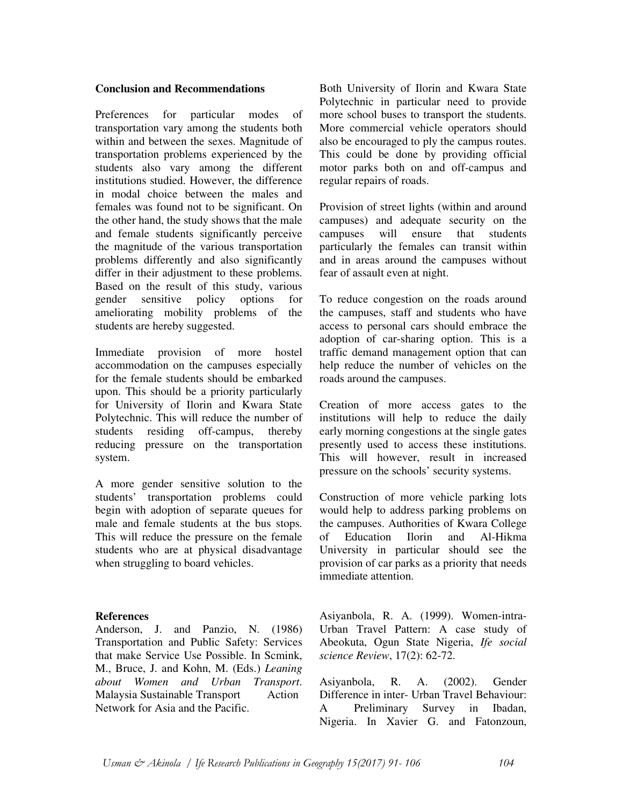#### **Conclusion and Recommendations**

Preferences for particular modes of transportation vary among the students both within and between the sexes. Magnitude of transportation problems experienced by the students also vary among the different institutions studied. However, the difference in modal choice between the males and females was found not to be significant. On the other hand, the study shows that the male and female students significantly perceive the magnitude of the various transportation problems differently and also significantly differ in their adjustment to these problems. Based on the result of this study, various gender sensitive policy options for ameliorating mobility problems of the students are hereby suggested.

Immediate provision of more hostel accommodation on the campuses especially for the female students should be embarked upon. This should be a priority particularly for University of Ilorin and Kwara State Polytechnic. This will reduce the number of students residing off-campus, thereby reducing pressure on the transportation system.

A more gender sensitive solution to the students' transportation problems could begin with adoption of separate queues for male and female students at the bus stops. This will reduce the pressure on the female students who are at physical disadvantage when struggling to board vehicles.

#### **References**

Anderson, J. and Panzio, N. (1986) Transportation and Public Safety: Services that make Service Use Possible. In Scmink, M., Bruce, J. and Kohn, M. (Eds.) *Leaning about Women and Urban Transport*. Malaysia Sustainable Transport Action Network for Asia and the Pacific.

Both University of Ilorin and Kwara State Polytechnic in particular need to provide more school buses to transport the students. More commercial vehicle operators should also be encouraged to ply the campus routes. This could be done by providing official motor parks both on and off-campus and regular repairs of roads.

Provision of street lights (within and around campuses) and adequate security on the campuses will ensure that students particularly the females can transit within and in areas around the campuses without fear of assault even at night.

To reduce congestion on the roads around the campuses, staff and students who have access to personal cars should embrace the adoption of car-sharing option. This is a traffic demand management option that can help reduce the number of vehicles on the roads around the campuses.

Creation of more access gates to the institutions will help to reduce the daily early morning congestions at the single gates presently used to access these institutions. This will however, result in increased pressure on the schools' security systems.

Construction of more vehicle parking lots would help to address parking problems on the campuses. Authorities of Kwara College of Education Ilorin and Al-Hikma University in particular should see the provision of car parks as a priority that needs immediate attention.

Asiyanbola, R. A. (1999). Women-intra-Urban Travel Pattern: A case study of Abeokuta, Ogun State Nigeria, *Ife social science Review*, 17(2): 62-72.

Asiyanbola, R. A. (2002). Gender Difference in inter- Urban Travel Behaviour: A Preliminary Survey in Ibadan, Nigeria. In Xavier G. and Fatonzoun,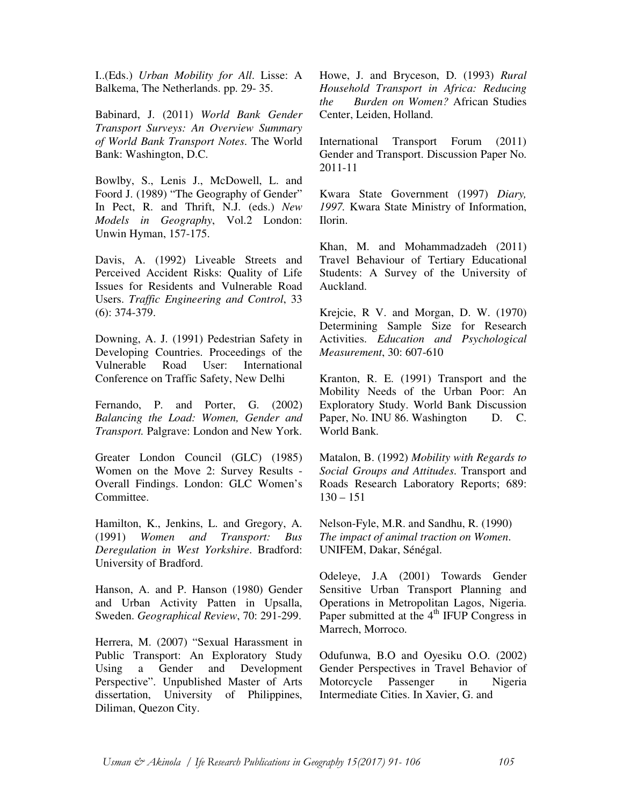I..(Eds.) *Urban Mobility for All*. Lisse: A Balkema, The Netherlands. pp. 29- 35.

Babinard, J. (2011) *World Bank Gender Transport Surveys: An Overview Summary of World Bank Transport Notes*. The World Bank: Washington, D.C.

Bowlby, S., Lenis J., McDowell, L. and Foord J. (1989) "The Geography of Gender" In Pect, R. and Thrift, N.J. (eds.) *New Models in Geography*, Vol.2 London: Unwin Hyman, 157-175.

Davis, A. (1992) Liveable Streets and Perceived Accident Risks: Quality of Life Issues for Residents and Vulnerable Road Users. *Traffic Engineering and Control*, 33 (6): 374-379.

Downing, A. J. (1991) Pedestrian Safety in Developing Countries. Proceedings of the Vulnerable Road User: International Conference on Traffic Safety, New Delhi

Fernando, P. and Porter, G. (2002) *Balancing the Load: Women, Gender and Transport.* Palgrave: London and New York.

Greater London Council (GLC) (1985) Women on the Move 2: Survey Results - Overall Findings. London: GLC Women's Committee.

Hamilton, K., Jenkins, L. and Gregory, A. (1991) *Women and Transport: Bus Deregulation in West Yorkshire*. Bradford: University of Bradford.

Hanson, A. and P. Hanson (1980) Gender and Urban Activity Patten in Upsalla, Sweden. *Geographical Review*, 70: 291-299.

Herrera, M. (2007) "Sexual Harassment in Public Transport: An Exploratory Study Using a Gender and Development Perspective". Unpublished Master of Arts dissertation, University of Philippines, Diliman, Quezon City.

Howe, J. and Bryceson, D. (1993) *Rural Household Transport in Africa: Reducing the Burden on Women?* African Studies Center, Leiden, Holland.

International Transport Forum (2011) Gender and Transport. Discussion Paper No. 2011-11

Kwara State Government (1997) *Diary, 1997.* Kwara State Ministry of Information, Ilorin.

Khan, M. and Mohammadzadeh (2011) Travel Behaviour of Tertiary Educational Students: A Survey of the University of Auckland.

Krejcie, R V. and Morgan, D. W. (1970) Determining Sample Size for Research Activities. *Education and Psychological Measurement*, 30: 607-610

Kranton, R. E. (1991) Transport and the Mobility Needs of the Urban Poor: An Exploratory Study. World Bank Discussion Paper, No. INU 86. Washington D. C. World Bank.

Matalon, B. (1992) *Mobility with Regards to Social Groups and Attitudes*. Transport and Roads Research Laboratory Reports; 689:  $130 - 151$ 

Nelson-Fyle, M.R. and Sandhu, R. (1990) *The impact of animal traction on Women*. UNIFEM, Dakar, Sénégal.

Odeleye, J.A (2001) Towards Gender Sensitive Urban Transport Planning and Operations in Metropolitan Lagos, Nigeria. Paper submitted at the  $4<sup>th</sup>$  IFUP Congress in Marrech, Morroco.

Odufunwa, B.O and Oyesiku O.O. (2002) Gender Perspectives in Travel Behavior of Motorcycle Passenger in Nigeria Intermediate Cities. In Xavier, G. and